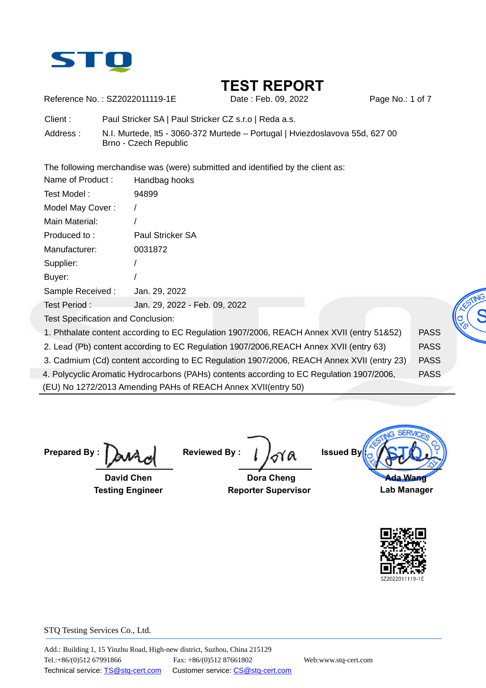

Reference No.: SZ2022011119-1E Date : Feb. 09, 2022 Page No.: 1 of 7

Client : Paul Stricker SA | Paul Stricker CZ s.r.o | Reda a.s.

Address : N.I. Murtede, lt5 - 3060-372 Murtede – Portugal | Hviezdoslavova 55d, 627 00 Brno - Czech Republic

The following merchandise was (were) submitted and identified by the client as:

| Name of Product:                          | Handbag hooks                                                                             |             |  |
|-------------------------------------------|-------------------------------------------------------------------------------------------|-------------|--|
| Test Model:                               | 94899                                                                                     |             |  |
| Model May Cover:                          |                                                                                           |             |  |
| Main Material:                            |                                                                                           |             |  |
| Produced to:                              | Paul Stricker SA                                                                          |             |  |
| Manufacturer:                             | 0031872                                                                                   |             |  |
| Supplier:                                 |                                                                                           |             |  |
| Buyer:                                    |                                                                                           |             |  |
| Sample Received:                          | Jan. 29, 2022                                                                             |             |  |
| Test Period:                              | Jan. 29, 2022 - Feb. 09, 2022                                                             |             |  |
| <b>Test Specification and Conclusion:</b> |                                                                                           |             |  |
|                                           | 1. Phthalate content according to EC Regulation 1907/2006, REACH Annex XVII (entry 51&52) | <b>PASS</b> |  |
|                                           | 2. Lead (Pb) content according to EC Regulation 1907/2006, REACH Annex XVII (entry 63)    | <b>PASS</b> |  |

3. Cadmium (Cd) content according to EC Regulation 1907/2006, REACH Annex XVII (entry 23) PASS

4. Polycyclic Aromatic Hydrocarbons (PAHs) contents according to EC Regulation 1907/2006, PASS

(EU) No 1272/2013 Amending PAHs of REACH Annex XVII(entry 50)

**Prepared By :** 

 **David Chen Testing Engineer** 

**Reviewed By :** 

 **Dora Cheng Reporter Supervisor**

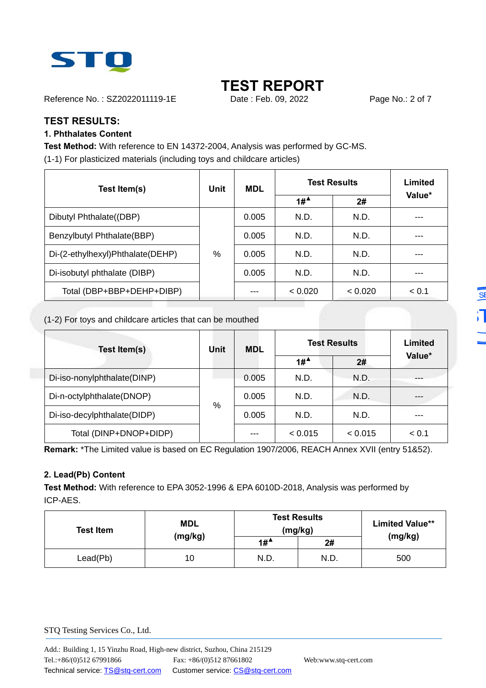

Reference No.: SZ2022011119-1E Date : Feb. 09, 2022 Page No.: 2 of 7

## **TEST RESULTS:**

### **1. Phthalates Content**

**Test Method:** With reference to EN 14372-2004, Analysis was performed by GC-MS. (1-1) For plasticized materials (including toys and childcare articles)

| Test Item(s)                     | Unit | <b>MDL</b> | <b>Test Results</b>                    |         | Limited |  |
|----------------------------------|------|------------|----------------------------------------|---------|---------|--|
|                                  |      |            | $1#$ <sup><math>\triangle</math></sup> | 2#      | Value*  |  |
| Dibutyl Phthalate((DBP)          |      | 0.005      | N.D.                                   | N.D.    | ---     |  |
| Benzylbutyl Phthalate(BBP)       | %    | 0.005      | N.D.                                   | N.D.    |         |  |
| Di-(2-ethylhexyl)Phthalate(DEHP) |      | 0.005      | N.D.                                   | N.D.    |         |  |
| Di-isobutyl phthalate (DIBP)     |      | 0.005      | N.D.                                   | N.D.    | ---     |  |
| Total (DBP+BBP+DEHP+DIBP)        |      |            | < 0.020                                | < 0.020 | < 0.1   |  |

(1-2) For toys and childcare articles that can be mouthed

| Test Item(s)                | Unit | <b>MDL</b> | <b>Test Results</b> |         | Limited |  |
|-----------------------------|------|------------|---------------------|---------|---------|--|
|                             |      |            | $1#^4$              | 2#      | Value*  |  |
| Di-iso-nonylphthalate(DINP) |      | 0.005      | N.D.                | N.D.    |         |  |
| Di-n-octylphthalate(DNOP)   | %    | 0.005      | N.D.                | N.D.    |         |  |
| Di-iso-decylphthalate(DIDP) |      | 0.005      | N.D.                | N.D.    |         |  |
| Total (DINP+DNOP+DIDP)      |      | ---        | < 0.015             | < 0.015 | < 0.1   |  |

**Remark:** \*The Limited value is based on EC Regulation 1907/2006, REACH Annex XVII (entry 51&52).

## **2. Lead(Pb) Content**

**Test Method:** With reference to EPA 3052-1996 & EPA 6010D-2018, Analysis was performed by ICP-AES.

| <b>Test Item</b> | <b>MDL</b> | <b>Test Results</b><br>(mg/kg) | <b>Limited Value**</b> |         |
|------------------|------------|--------------------------------|------------------------|---------|
|                  | (mg/kg)    | $1#^4$                         | 2#                     | (mg/kg) |
| Lead(Pb)         | 10         | N.D.                           | N.D.                   | 500     |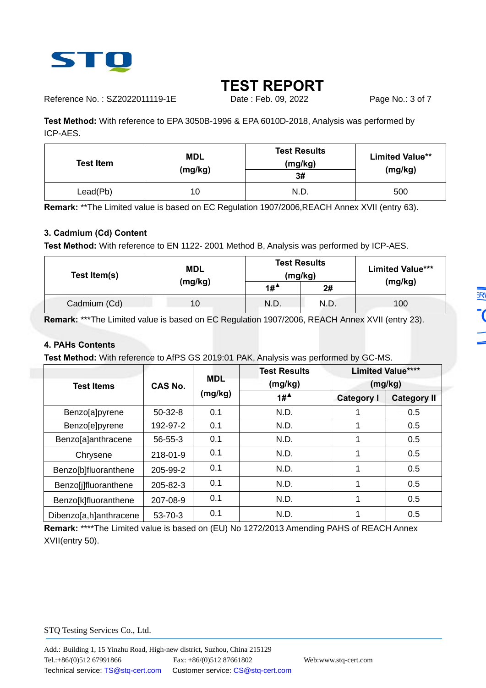

Reference No.: SZ2022011119-1E Date : Feb. 09, 2022 Page No.: 3 of 7

**Test Method:** With reference to EPA 3050B-1996 & EPA 6010D-2018, Analysis was performed by ICP-AES.

| <b>Test Item</b> | <b>MDL</b><br>(mg/kg) | <b>Test Results</b><br>(mg/kg)<br>3# | <b>Limited Value**</b><br>(mg/kg) |  |
|------------------|-----------------------|--------------------------------------|-----------------------------------|--|
| Lead(Pb)         | 10                    | N.D.                                 | 500                               |  |

**Remark:** \*\*The Limited value is based on EC Regulation 1907/2006,REACH Annex XVII (entry 63).

## **3. Cadmium (Cd) Content**

**Test Method:** With reference to EN 1122- 2001 Method B, Analysis was performed by ICP-AES.

| Test Item(s) | <b>MDL</b> |        | <b>Test Results</b><br>(mg/kg) | <b>Limited Value***</b> |  |
|--------------|------------|--------|--------------------------------|-------------------------|--|
|              | (mg/kg)    | $1#^4$ | 2#                             | (mg/kg)                 |  |
| Cadmium (Cd) | 10         | N.D.   | N.D.                           | 100                     |  |

**Remark:** \*\*\*The Limited value is based on EC Regulation 1907/2006, REACH Annex XVII (entry 23).

#### **4. PAHs Contents**

**Test Method:** With reference to AfPS GS 2019:01 PAK, Analysis was performed by GC-MS.

|                        |                |                       | <b>Test Results</b>   | <b>Limited Value****</b> |                    |
|------------------------|----------------|-----------------------|-----------------------|--------------------------|--------------------|
| <b>Test Items</b>      | <b>CAS No.</b> | <b>MDL</b><br>(mg/kg) | (mg/kg)               | (mg/kg)                  |                    |
|                        |                |                       | $1#^{\blacktriangle}$ | <b>Category I</b>        | <b>Category II</b> |
| Benzo[a]pyrene         | $50-32-8$      | 0.1                   | N.D.                  |                          | 0.5                |
| Benzo[e]pyrene         | 192-97-2       | 0.1                   | N.D.                  |                          | 0.5                |
| Benzo[a]anthracene     | $56 - 55 - 3$  | 0.1                   | N.D.                  |                          | 0.5                |
| Chrysene               | $218 - 01 - 9$ | 0.1                   | N.D.                  |                          | 0.5                |
| Benzo[b]fluoranthene   | 205-99-2       | 0.1                   | N.D.                  |                          | 0.5                |
| Benzo[j]fluoranthene   | 205-82-3       | 0.1                   | N.D.                  |                          | 0.5                |
| Benzo[k]fluoranthene   | 207-08-9       | 0.1                   | N.D.                  |                          | 0.5                |
| Dibenzo[a,h]anthracene | $53 - 70 - 3$  | 0.1                   | N.D.                  |                          | 0.5                |

**Remark:** \*\*\*\*The Limited value is based on (EU) No 1272/2013 Amending PAHS of REACH Annex XVII(entry 50).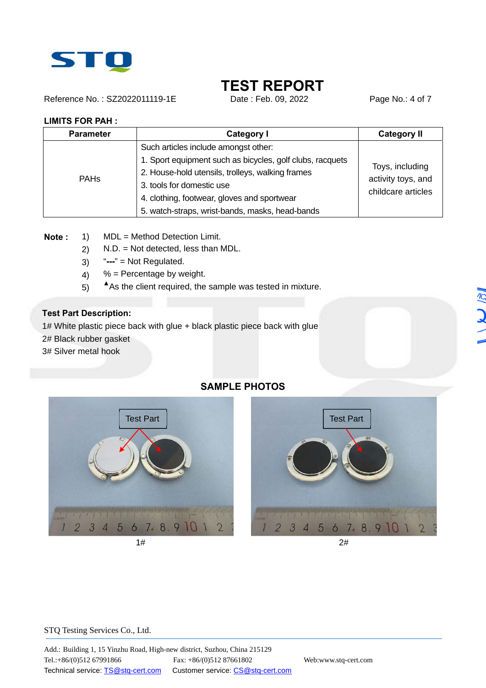

Reference No.: SZ2022011119-1E Date : Feb. 09, 2022 Page No.: 4 of 7

#### **LIMITS FOR PAH :**

| <b>Parameter</b>       | <b>Category I</b>                                         | <b>Category II</b>                                          |  |  |  |
|------------------------|-----------------------------------------------------------|-------------------------------------------------------------|--|--|--|
| <b>PAH<sub>s</sub></b> | Such articles include amongst other:                      |                                                             |  |  |  |
|                        | 1. Sport equipment such as bicycles, golf clubs, racquets | Toys, including<br>activity toys, and<br>childcare articles |  |  |  |
|                        | 2. House-hold utensils, trolleys, walking frames          |                                                             |  |  |  |
|                        | 3. tools for domestic use                                 |                                                             |  |  |  |
|                        | 4. clothing, footwear, gloves and sportwear               |                                                             |  |  |  |
|                        | 5. watch-straps, wrist-bands, masks, head-bands           |                                                             |  |  |  |

**Note :** 1) MDL = Method Detection Limit.

- 2) N.D. = Not detected, less than MDL.
- 3) "**---**" = Not Regulated.
- 4)  $%$  = Percentage by weight.
- 5) **▲**As the client required, the sample was tested in mixture.

### **Test Part Description:**

1# White plastic piece back with glue + black plastic piece back with glue

2# Black rubber gasket

3# Silver metal hook

## **SAMPLE PHOTOS**



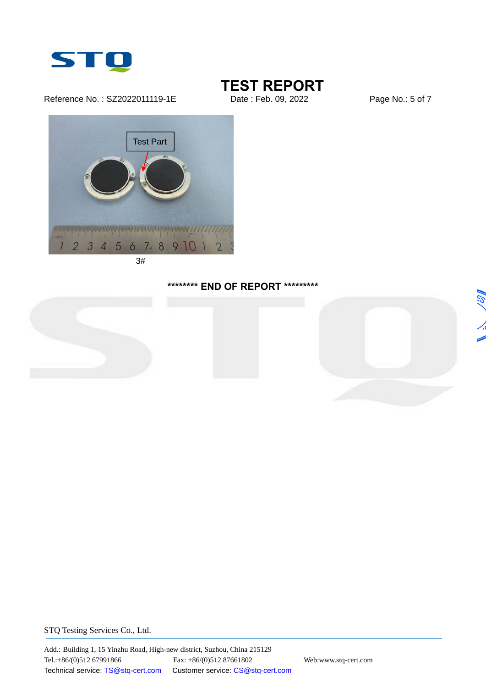

Reference No.: SZ2022011119-1E Date : Feb. 09, 2022 Page No.: 5 of 7

# **TEST REPORT**<br>Date : Feb. 09, 2022



3#

## **\*\*\*\*\*\*\*\* END OF REPORT \*\*\*\*\*\*\*\*\***





**ASI**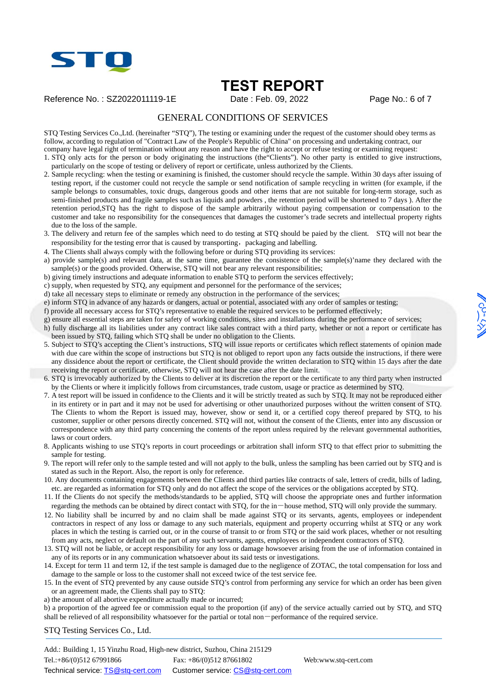

Reference No.: SZ2022011119-1E Date : Feb. 09, 2022 Page No.: 6 of 7

#### GENERAL CONDITIONS OF SERVICES

STQ Testing Services Co.,Ltd. (hereinafter "STQ"), The testing or examining under the request of the customer should obey terms as follow, according to regulation of "Contract Law of the People's Republic of China" on processing and undertaking contract, our company have legal right of termination without any reason and have the right to accept or refuse testing or examining request:

1. STQ only acts for the person or body originating the instructions (the"Clients"). No other party is entitled to give instructions, particularly on the scope of testing or delivery of report or certificate, unless authorized by the Clients.

- 2. Sample recycling: when the testing or examining is finished, the customer should recycle the sample. Within 30 days after issuing of testing report, if the customer could not recycle the sample or send notification of sample recycling in written (for example, if the sample belongs to consumables, toxic drugs, dangerous goods and other items that are not suitable for long-term storage, such as semi-finished products and fragile samples such as liquids and powders , the retention period will be shortened to 7 days ). After the retention period,STQ has the right to dispose of the sample arbitrarily without paying compensation or compensation to the customer and take no responsibility for the consequences that damages the customer's trade secrets and intellectual property rights due to the loss of the sample.
- 3. The delivery and return fee of the samples which need to do testing at STQ should be paied by the client. STQ will not bear the responsibility for the testing error that is caused by transporting, packaging and labelling.
- 4. The Clients shall always comply with the following before or during STQ providing its services:
- a) provide sample(s) and relevant data, at the same time, guarantee the consistence of the sample(s)'name they declared with the sample(s) or the goods provided. Otherwise, STQ will not bear any relevant responsibilities;
- b) giving timely instructions and adequate information to enable STQ to perform the services effectively;
- c) supply, when requested by STQ, any equipment and personnel for the performance of the services;
- d) take all necessary steps to eliminate or remedy any obstruction in the performance of the services;
- e) inform STQ in advance of any hazards or dangers, actual or potential, associated with any order of samples or testing;
- f) provide all necessary access for STQ's representative to enable the required services to be performed effectively;
- g) ensure all essential steps are taken for safety of working conditions, sites and installations during the performance of services;
- h) fully discharge all its liabilities under any contract like sales contract with a third party, whether or not a report or certificate has been issued by STQ, failing which STQ shall be under no obligation to the Clients.
- 5. Subject to STQ's accepting the Client's instructions, STQ will issue reports or certificates which reflect statements of opinion made with due care within the scope of instructions but STQ is not obliged to report upon any facts outside the instructions, if there were any dissidence about the report or certificate, the Client should provide the written declaration to STQ within 15 days after the date receiving the report or certificate, otherwise, STQ will not hear the case after the date limit.
- 6. STQ is irrevocably authorized by the Clients to deliver at its discretion the report or the certificate to any third party when instructed by the Clients or where it implicitly follows from circumstances, trade custom, usage or practice as determined by STQ.
- 7. A test report will be issued in confidence to the Clients and it will be strictly treated as such by STQ. It may not be reproduced either in its entirety or in part and it may not be used for advertising or other unauthorized purposes without the written consent of STQ. The Clients to whom the Report is issued may, however, show or send it, or a certified copy thereof prepared by STQ, to his customer, supplier or other persons directly concerned. STQ will not, without the consent of the Clients, enter into any discussion or correspondence with any third party concerning the contents of the report unless required by the relevant governmental authorities, laws or court orders.
- 8. Applicants wishing to use STQ's reports in court proceedings or arbitration shall inform STQ to that effect prior to submitting the sample for testing.
- 9. The report will refer only to the sample tested and will not apply to the bulk, unless the sampling has been carried out by STQ and is stated as such in the Report. Also, the report is only for reference.
- 10. Any documents containing engagements between the Clients and third parties like contracts of sale, letters of credit, bills of lading, etc. are regarded as information for STQ only and do not affect the scope of the services or the obligations accepted by STQ.
- 11. If the Clients do not specify the methods/standards to be applied, STQ will choose the appropriate ones and further information regarding the methods can be obtained by direct contact with STQ, for the in-house method, STQ will only provide the summary.
- 12. No liability shall be incurred by and no claim shall be made against STQ or its servants, agents, employees or independent contractors in respect of any loss or damage to any such materials, equipment and property occurring whilst at STQ or any work places in which the testing is carried out, or in the course of transit to or from STQ or the said work places, whether or not resulting from any acts, neglect or default on the part of any such servants, agents, employees or independent contractors of STQ.
- 13. STQ will not be liable, or accept responsibility for any loss or damage howsoever arising from the use of information contained in any of its reports or in any communication whatsoever about its said tests or investigations.
- 14. Except for term 11 and term 12, if the test sample is damaged due to the negligence of ZOTAC, the total compensation for loss and damage to the sample or loss to the customer shall not exceed twice of the test service fee.
- 15. In the event of STQ prevented by any cause outside STQ's control from performing any service for which an order has been given or an agreement made, the Clients shall pay to STQ:
- a) the amount of all abortive expenditure actually made or incurred;

b) a proportion of the agreed fee or commission equal to the proportion (if any) of the service actually carried out by STQ, and STQ shall be relieved of all responsibility whatsoever for the partial or total non-performance of the required service.

STQ Testing Services Co., Ltd.

Add.: Building 1, 15 Yinzhu Road, High-new district, Suzhou, China 215129 Tel.:+86/(0)512 67991866 Fax: +86/(0)512 87661802 Web:www.stq-cert.com Technical service: TS@stq-cert.com Customer service: CS@stq-cert.com